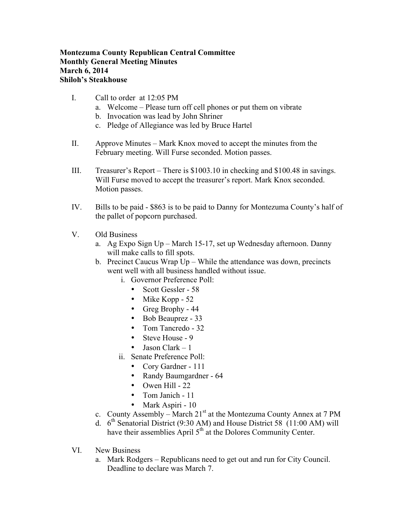## **Montezuma County Republican Central Committee Monthly General Meeting Minutes March 6, 2014 Shiloh's Steakhouse**

- I. Call to order at 12:05 PM
	- a. Welcome Please turn off cell phones or put them on vibrate
	- b. Invocation was lead by John Shriner
	- c. Pledge of Allegiance was led by Bruce Hartel
- II. Approve Minutes Mark Knox moved to accept the minutes from the February meeting. Will Furse seconded. Motion passes.
- III. Treasurer's Report There is \$1003.10 in checking and \$100.48 in savings. Will Furse moved to accept the treasurer's report. Mark Knox seconded. Motion passes.
- IV. Bills to be paid \$863 is to be paid to Danny for Montezuma County's half of the pallet of popcorn purchased.
- V. Old Business
	- a. Ag Expo Sign Up March 15-17, set up Wednesday afternoon. Danny will make calls to fill spots.
	- b. Precinct Caucus Wrap Up While the attendance was down, precincts went well with all business handled without issue.
		- i. Governor Preference Poll:
			- Scott Gessler 58
			- Mike Kopp 52
			- Greg Brophy 44
			- Bob Beauprez 33
			- Tom Tancredo 32
			- Steve House 9
			- Jason Clark  $-1$
		- ii. Senate Preference Poll:
			- Cory Gardner 111
			- Randy Baumgardner 64
			- Owen Hill  $22$
			- Tom Janich 11
			- Mark Aspiri 10
	- c. County Assembly March  $21<sup>st</sup>$  at the Montezuma County Annex at 7 PM
	- d.  $6<sup>th</sup>$  Senatorial District (9:30 AM) and House District 58 (11:00 AM) will have their assemblies April  $5<sup>th</sup>$  at the Dolores Community Center.
- VI. New Business
	- a. Mark Rodgers Republicans need to get out and run for City Council. Deadline to declare was March 7.